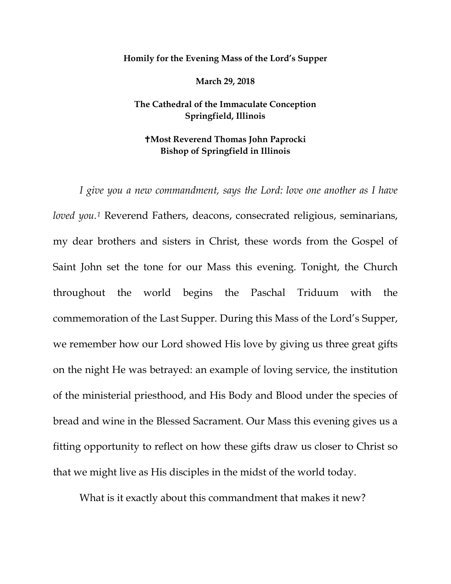## **Homily for the Evening Mass of the Lord's Supper**

**March 29, 2018**

## **The Cathedral of the Immaculate Conception Springfield, Illinois**

## **Most Reverend Thomas John Paprocki Bishop of Springfield in Illinois**

*I give you a new commandment, says the Lord: love one another as I have loved you.[1](#page-4-0)* Reverend Fathers, deacons, consecrated religious, seminarians, my dear brothers and sisters in Christ, these words from the Gospel of Saint John set the tone for our Mass this evening. Tonight, the Church throughout the world begins the Paschal Triduum with the commemoration of the Last Supper. During this Mass of the Lord's Supper, we remember how our Lord showed His love by giving us three great gifts on the night He was betrayed: an example of loving service, the institution of the ministerial priesthood, and His Body and Blood under the species of bread and wine in the Blessed Sacrament. Our Mass this evening gives us a fitting opportunity to reflect on how these gifts draw us closer to Christ so that we might live as His disciples in the midst of the world today.

What is it exactly about this commandment that makes it new?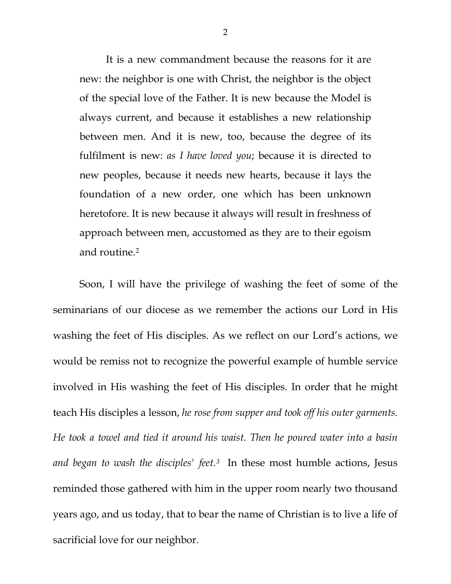It is a new commandment because the reasons for it are new: the neighbor is one with Christ, the neighbor is the object of the special love of the Father. It is new because the Model is always current, and because it establishes a new relationship between men. And it is new, too, because the degree of its fulfilment is new: *as I have loved you*; because it is directed to new peoples, because it needs new hearts, because it lays the foundation of a new order, one which has been unknown heretofore. It is new because it always will result in freshness of approach between men, accustomed as they are to their egoism and routine.[2](#page-4-1)

Soon, I will have the privilege of washing the feet of some of the seminarians of our diocese as we remember the actions our Lord in His washing the feet of His disciples. As we reflect on our Lord's actions, we would be remiss not to recognize the powerful example of humble service involved in His washing the feet of His disciples. In order that he might teach His disciples a lesson, *he rose from supper and took off his outer garments. He took a towel and tied it around his waist. Then he poured water into a basin and began to wash the disciples' feet.[3](#page-4-2)* In these most humble actions, Jesus reminded those gathered with him in the upper room nearly two thousand years ago, and us today, that to bear the name of Christian is to live a life of sacrificial love for our neighbor.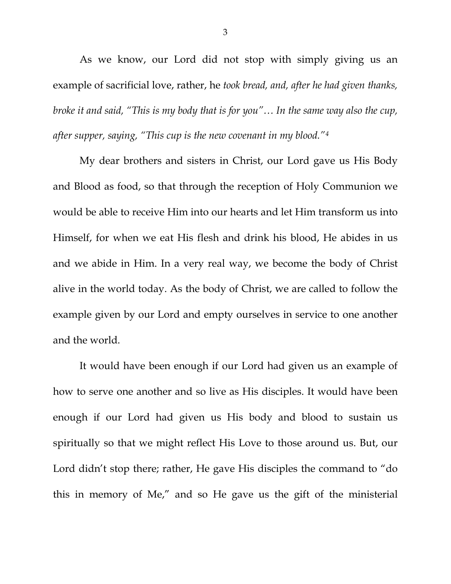As we know, our Lord did not stop with simply giving us an example of sacrificial love, rather, he *took bread, and, after he had given thanks, broke it and said, "This is my body that is for you"… In the same way also the cup, after supper, saying, "This cup is the new covenant in my blood."[4](#page-4-3)*

My dear brothers and sisters in Christ, our Lord gave us His Body and Blood as food, so that through the reception of Holy Communion we would be able to receive Him into our hearts and let Him transform us into Himself, for when we eat His flesh and drink his blood, He abides in us and we abide in Him. In a very real way, we become the body of Christ alive in the world today. As the body of Christ, we are called to follow the example given by our Lord and empty ourselves in service to one another and the world.

It would have been enough if our Lord had given us an example of how to serve one another and so live as His disciples. It would have been enough if our Lord had given us His body and blood to sustain us spiritually so that we might reflect His Love to those around us. But, our Lord didn't stop there; rather, He gave His disciples the command to "do this in memory of Me," and so He gave us the gift of the ministerial

3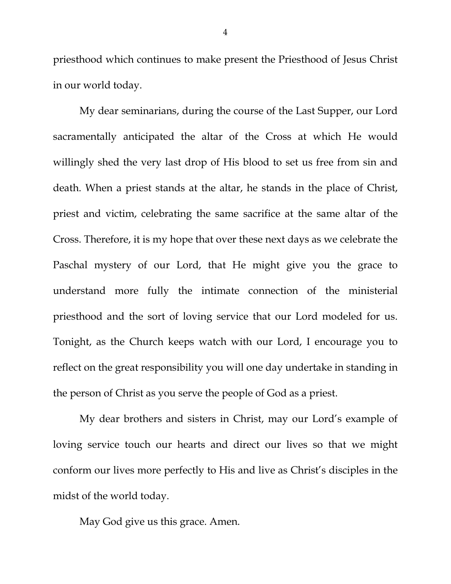priesthood which continues to make present the Priesthood of Jesus Christ in our world today.

My dear seminarians, during the course of the Last Supper, our Lord sacramentally anticipated the altar of the Cross at which He would willingly shed the very last drop of His blood to set us free from sin and death. When a priest stands at the altar, he stands in the place of Christ, priest and victim, celebrating the same sacrifice at the same altar of the Cross. Therefore, it is my hope that over these next days as we celebrate the Paschal mystery of our Lord, that He might give you the grace to understand more fully the intimate connection of the ministerial priesthood and the sort of loving service that our Lord modeled for us. Tonight, as the Church keeps watch with our Lord, I encourage you to reflect on the great responsibility you will one day undertake in standing in the person of Christ as you serve the people of God as a priest.

My dear brothers and sisters in Christ, may our Lord's example of loving service touch our hearts and direct our lives so that we might conform our lives more perfectly to His and live as Christ's disciples in the midst of the world today.

May God give us this grace. Amen.